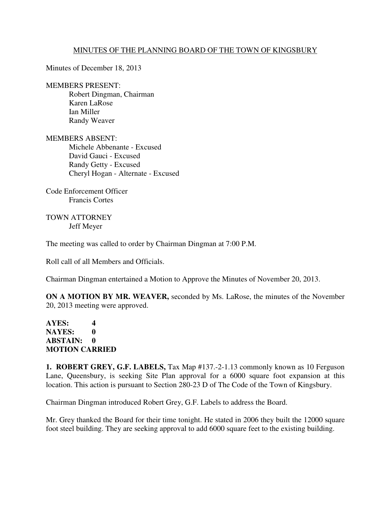## MINUTES OF THE PLANNING BOARD OF THE TOWN OF KINGSBURY

Minutes of December 18, 2013

## MEMBERS PRESENT:

 Robert Dingman, Chairman Karen LaRose Ian Miller Randy Weaver

MEMBERS ABSENT: Michele Abbenante - Excused David Gauci - Excused Randy Getty - Excused Cheryl Hogan - Alternate - Excused

Code Enforcement Officer Francis Cortes

TOWN ATTORNEY Jeff Meyer

The meeting was called to order by Chairman Dingman at 7:00 P.M.

Roll call of all Members and Officials.

Chairman Dingman entertained a Motion to Approve the Minutes of November 20, 2013.

**ON A MOTION BY MR. WEAVER,** seconded by Ms. LaRose, the minutes of the November 20, 2013 meeting were approved.

## **AYES: 4 NAYES: 0 ABSTAIN: 0 MOTION CARRIED**

**1. ROBERT GREY, G.F. LABELS,** Tax Map #137.-2-1.13 commonly known as 10 Ferguson Lane, Queensbury, is seeking Site Plan approval for a 6000 square foot expansion at this location. This action is pursuant to Section 280-23 D of The Code of the Town of Kingsbury.

Chairman Dingman introduced Robert Grey, G.F. Labels to address the Board.

Mr. Grey thanked the Board for their time tonight. He stated in 2006 they built the 12000 square foot steel building. They are seeking approval to add 6000 square feet to the existing building.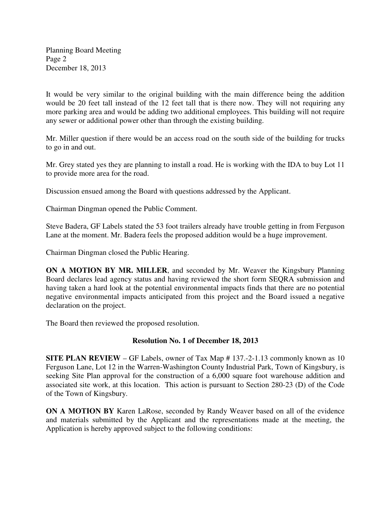Planning Board Meeting Page 2 December 18, 2013

It would be very similar to the original building with the main difference being the addition would be 20 feet tall instead of the 12 feet tall that is there now. They will not requiring any more parking area and would be adding two additional employees. This building will not require any sewer or additional power other than through the existing building.

Mr. Miller question if there would be an access road on the south side of the building for trucks to go in and out.

Mr. Grey stated yes they are planning to install a road. He is working with the IDA to buy Lot 11 to provide more area for the road.

Discussion ensued among the Board with questions addressed by the Applicant.

Chairman Dingman opened the Public Comment.

Steve Badera, GF Labels stated the 53 foot trailers already have trouble getting in from Ferguson Lane at the moment. Mr. Badera feels the proposed addition would be a huge improvement.

Chairman Dingman closed the Public Hearing.

**ON A MOTION BY MR. MILLER**, and seconded by Mr. Weaver the Kingsbury Planning Board declares lead agency status and having reviewed the short form SEQRA submission and having taken a hard look at the potential environmental impacts finds that there are no potential negative environmental impacts anticipated from this project and the Board issued a negative declaration on the project.

The Board then reviewed the proposed resolution.

## **Resolution No. 1 of December 18, 2013**

**SITE PLAN REVIEW** – GF Labels, owner of Tax Map # 137.-2-1.13 commonly known as 10 Ferguson Lane, Lot 12 in the Warren-Washington County Industrial Park, Town of Kingsbury, is seeking Site Plan approval for the construction of a 6,000 square foot warehouse addition and associated site work, at this location. This action is pursuant to Section 280-23 (D) of the Code of the Town of Kingsbury.

**ON A MOTION BY** Karen LaRose, seconded by Randy Weaver based on all of the evidence and materials submitted by the Applicant and the representations made at the meeting, the Application is hereby approved subject to the following conditions: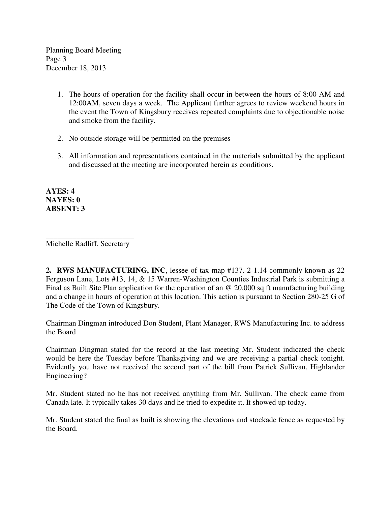Planning Board Meeting Page 3 December 18, 2013

- 1. The hours of operation for the facility shall occur in between the hours of 8:00 AM and 12:00AM, seven days a week. The Applicant further agrees to review weekend hours in the event the Town of Kingsbury receives repeated complaints due to objectionable noise and smoke from the facility.
- 2. No outside storage will be permitted on the premises
- 3. All information and representations contained in the materials submitted by the applicant and discussed at the meeting are incorporated herein as conditions.

**AYES: 4 NAYES: 0 ABSENT: 3** 

\_\_\_\_\_\_\_\_\_\_\_\_\_\_\_\_\_\_\_\_\_\_\_ Michelle Radliff, Secretary

**2. RWS MANUFACTURING, INC**, lessee of tax map #137.-2-1.14 commonly known as 22 Ferguson Lane, Lots #13, 14, & 15 Warren-Washington Counties Industrial Park is submitting a Final as Built Site Plan application for the operation of an @ 20,000 sq ft manufacturing building and a change in hours of operation at this location. This action is pursuant to Section 280-25 G of The Code of the Town of Kingsbury.

Chairman Dingman introduced Don Student, Plant Manager, RWS Manufacturing Inc. to address the Board

Chairman Dingman stated for the record at the last meeting Mr. Student indicated the check would be here the Tuesday before Thanksgiving and we are receiving a partial check tonight. Evidently you have not received the second part of the bill from Patrick Sullivan, Highlander Engineering?

Mr. Student stated no he has not received anything from Mr. Sullivan. The check came from Canada late. It typically takes 30 days and he tried to expedite it. It showed up today.

Mr. Student stated the final as built is showing the elevations and stockade fence as requested by the Board.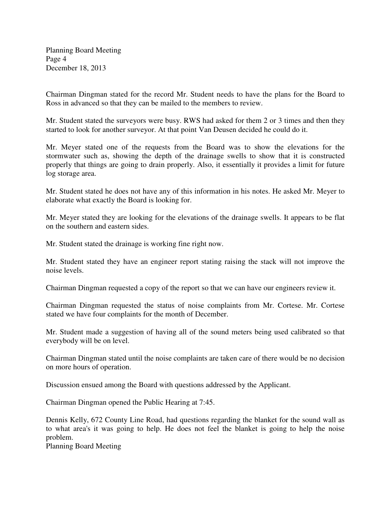Planning Board Meeting Page 4 December 18, 2013

Chairman Dingman stated for the record Mr. Student needs to have the plans for the Board to Ross in advanced so that they can be mailed to the members to review.

Mr. Student stated the surveyors were busy. RWS had asked for them 2 or 3 times and then they started to look for another surveyor. At that point Van Deusen decided he could do it.

Mr. Meyer stated one of the requests from the Board was to show the elevations for the stormwater such as, showing the depth of the drainage swells to show that it is constructed properly that things are going to drain properly. Also, it essentially it provides a limit for future log storage area.

Mr. Student stated he does not have any of this information in his notes. He asked Mr. Meyer to elaborate what exactly the Board is looking for.

Mr. Meyer stated they are looking for the elevations of the drainage swells. It appears to be flat on the southern and eastern sides.

Mr. Student stated the drainage is working fine right now.

Mr. Student stated they have an engineer report stating raising the stack will not improve the noise levels.

Chairman Dingman requested a copy of the report so that we can have our engineers review it.

Chairman Dingman requested the status of noise complaints from Mr. Cortese. Mr. Cortese stated we have four complaints for the month of December.

Mr. Student made a suggestion of having all of the sound meters being used calibrated so that everybody will be on level.

Chairman Dingman stated until the noise complaints are taken care of there would be no decision on more hours of operation.

Discussion ensued among the Board with questions addressed by the Applicant.

Chairman Dingman opened the Public Hearing at 7:45.

Dennis Kelly, 672 County Line Road, had questions regarding the blanket for the sound wall as to what area's it was going to help. He does not feel the blanket is going to help the noise problem.

Planning Board Meeting